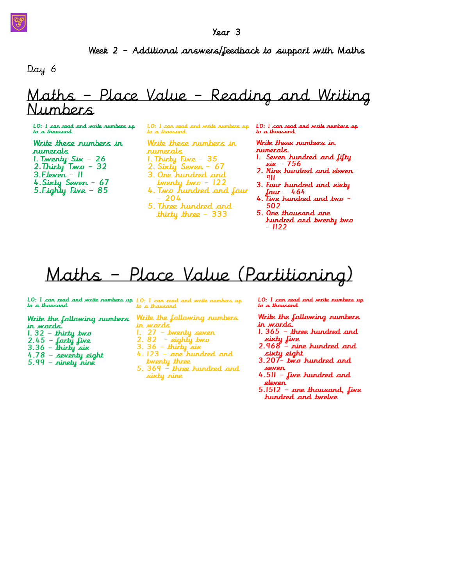## Week 2 - Additional answers/feedback to support with Maths

Day 6

## <u> Maths - Place Value - Reading and Writing</u> mbers

10: I can read and write numbers up to a thousand

Write these rumbers in numerals 1. Twenty Six - 26<br>2. Thirty Two - 32  $3.$ Eleven –  $||$ 4. Sixty Seven - 67 5. Eighty Five  $-85$ 

LO: I can read and write numbers up to a thousand

Write these rumbers in rumerals 1. Thirty  $Five - 35$ 2. Sixty Seven - 67

- 3. One hundred and
- twenty two 122
- 4. Two hundred and four 204
- 5. Three hundred and thirty three  $-333$

LO: I can read and write numbers up to a thousand

Write these numbers in rumerals.

- 1. Seven hundred and fifty sin - 756
- 2. Nine hundred and eleven -911
- 3. Four hundred and sixty four - 464<br>4. Five hundred and two -
- 502
- 5. One thousand ane hundred and twenty two  $-$  1122

# Maths - Place Value (Partitioning)

LO: I can read and write numbers up LO: I can read and write numbers up to a thousand to a thousand

Write the fallowing numbers

- in wards.  $1.32 -$ thirty two
- 
- 2.45 forty five<br>3.36 thirty six
- 
- 4.78 seventy eight<br>5.99 ninety nine
- 

Write the fallowing numbers in wards

- 
- 
- 
- 1.  $27$  twenty seven<br>
2.  $82$  eighty two<br>
3.  $36$  thirty six<br>
4.  $123$  one hundred and twenty three
- 5.  $369 -$  three hundred and sixty nine

LO: I can read and write numbers up to a thausand

Write the fallowing numbers in wards.

- $1.365$  three hundred and sixty five<br>2.968 – nine hundred and
- sixty eight<br>3.207- two hundred and
- seven
- 4.511 five hundred and eleven
- $5.1512 -$  ane thousand, five hundred and twelve

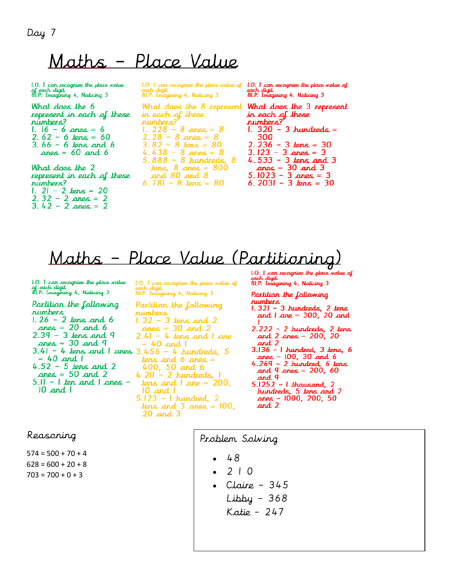Day 7

# Maths - Place Value

LO: I can recognies the place value of each digit.<br>BLP: Imagining 4, Naticing 3

What does the 6 represent in each of these numbers? 1.  $16 - 6$  anes = 6  $2.62 - 6$  tens =  $60$  $3.66 - 6$  tens and  $6$ anes =  $60$  and  $6$ 

What does the 2 represent in each of these numbers?  $1. 21 - 2$  tens = 20  $2.32 - 2$  anes = 2 3.42 - 2  $a$ nes = 2

 $LO: I. can recognize the place value of$ BLP: Imagining 4, Naticing 3

in each of these numbers? 1. 228 - 8 anes = 8<br>2. 28 - 8 anes = 8<br>3. 82 - 8 tens = 80 4.438 - 8 anes = 8<br>5.888 - 8 hundreds, 8  $tens, 8$  anes =  $800$ <br>and  $80$  and  $8$  $6.781 - 8$  dens =  $80$ 

 $LO: I$  can recognize the place value of Buch sugar<br>BLP: Imagining 4, Naticing 3

What does the 8 represent **What does the 3 represent** in each of these numbers?  $1.320 - 3$  hundreds = 300 2. 236 – 3 tens = 30<br>3. 123 – 3 anes = 3<br>4. 533 – 3 tens and 3  $2000 = 30$  and 3<br> $5.1023 - 3$  anes = 3<br> $6.2031 - 3$  tens = 30

Maths - Place Value (Partitioning)

LO: I can recognize the place value of each digit.<br>of each digit.<br>BLP: Imagining 4, Naticing 3

Partition the following rumbers  $1.26 - 2$  tens and 6  $\text{ones} = 20 \text{ and } 6$  $2.39 - 3$  tens and 9  $anes = 30$  and 9  $3.41 - 4$  tens and I anes  $3.456 - 4$  hundreds, 5  $= 40$  and  $\overline{1}$  $4.52 - 5$  tens and 2  $\text{ones} = 50$  and 2  $5.11 - 1$  ten and  $1$  anes - $10$  and  $1$ 

 $LO: I$  can recagnize the place value of BLP: Imagining 4, Naticing 3

Partition the following rumbers  $1.32 - 3$  tens and 2<br>anes = 30 and 2  $2.41 - 4$  tens and  $1$  ane  $= 40$  and  $\vert$  $tens$  and 6 anes = 400,  $50$  and 6  $4.211 - 2$  hundreds, tens and  $|$  ane = 200,  $10$  and  $1$  $5.123 - 1$  hundred, 2<br>tens and 3 anes = 100,<br>20 and 3 LO: I can recagnize the place value of each digit.<br>BLP: Imagining 4, Naticing 3

Partition the following numbers<br>1.321 - 3 hundreds, 2 tens<br>and 1 ane = 300, 20 and  $2.222 - 2$  hundreds, 2 tens<br>and 2 anes = 200, 20 and 2 3.136 - 1 hundred, 3 tens, 6

 $\Delta$  anes = 100, 30 and 6 4.269 - 2 hundred, 6 tens<br>and 9 anes = 200, 60 and 9  $5.1252 - 1$  thousand, 2 hundreds, 5 tens and 2<br>anes - 1000, 200, 50  $and<sub>2</sub>$ 

### Reasoning

 $574 = 500 + 70 + 4$  $628 = 600 + 20 + 8$  $703 = 700 + 0 + 3$ 

Problem Solving

- 48
- 2 1 0
- $\cdot$  Claire 345
	- Libby 368 Katie - 247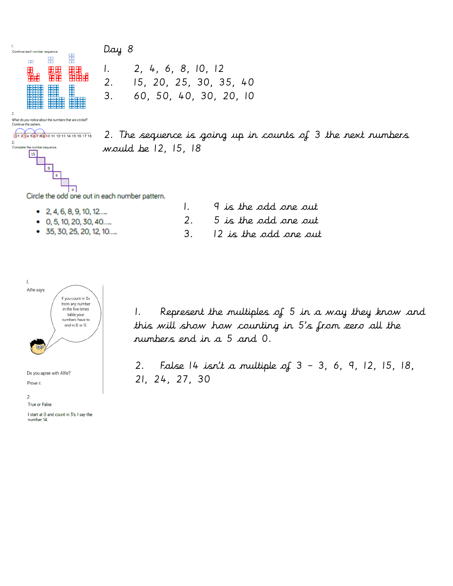Day 8



01 234 567 8910 11 12 13 14 15 16 17 18

hber sequence

3.<br>Complete the nu

 $15$ 

2. The sequence is going up in counts of 3 the next numbers would be 12, 15, 18

Circle the odd one out in each number pattern.

 $\circ$ 

| • 2, 4, 6, 8, 9, 10, 12          | 9 is the odd one out    |
|----------------------------------|-------------------------|
| $\bullet$ 0, 5, 10, 20, 30, 40   | 2. 5 is the odd one out |
| $\bullet$ 35, 30, 25, 20, 12, 10 | 12 is the odd one out   |

1. 2, 4, 6, 8, 10, 12

2. 15, 20, 25, 30, 35, 40 3. 60, 50, 40, 30, 20, 10



I start at O and count in 3's. I say the number 14.

1. Represent the multiples of 5 in a way they know and this will show how counting in 5's from zero all the numbers end in a 5 and 0.

2. False 14 isn't a multiple of 3 – 3, 6, 9, 12, 15, 18, 21, 24, 27, 30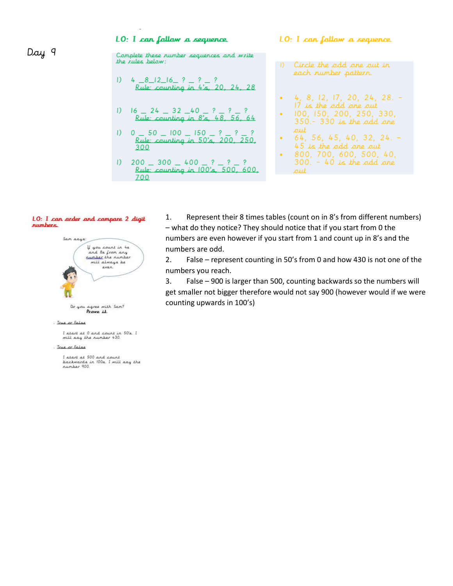### LO: I can fallow a sequence

#### LO: I can fallow a sequence

Camplete these number sequences and write the rules helaw:

| 1) $4 - 8 - 12 - 16 - ? - ? - ?$      |
|---------------------------------------|
| Rule: counting in $4\pi$ , 20, 24, 28 |
| 1) $16 - 24 - 32 - 40 - ? - ? - ?$    |
| Rule: counting in $8\pi$ , 48, 56, 64 |
| 1) $0 - 50 - 100 - 150 - ? - ? - ?$   |
| Rule: counting in $50\pi$ , 200, 250  |

1) 
$$
200 = 300 = 400 = ? = ? = ?
$$
  
\nRule: counting in 100<sup>'</sup> = 500, 600, 700

 $300$ 

1) Circle the add are aut in each number pattern.

$$
+ 4, 8, 12, 17, 20, 24, 28, -17 is the add one out
$$

100, 150, 200, 250, 330,  $350 - 330$  is the add ane out

#### LO: I can arder and campare 2 digit *numbers*



Do you agree with Sam?<br>Prove it.

I've or False

l start at 0 and count in 50's. I<br>will say the number 430.

#### . Irue or False

I start at 500 and count<br>backwards in 100s. I will say the number 900.

Represent their 8 times tables (count on in 8's from different numbers) 1. - what do they notice? They should notice that if you start from 0 the numbers are even however if you start from 1 and count up in 8's and the numbers are odd.

 $2.$ False - represent counting in 50's from 0 and how 430 is not one of the numbers you reach.

3. False - 900 is larger than 500, counting backwards so the numbers will get smaller not bigger therefore would not say 900 (however would if we were counting upwards in 100's)